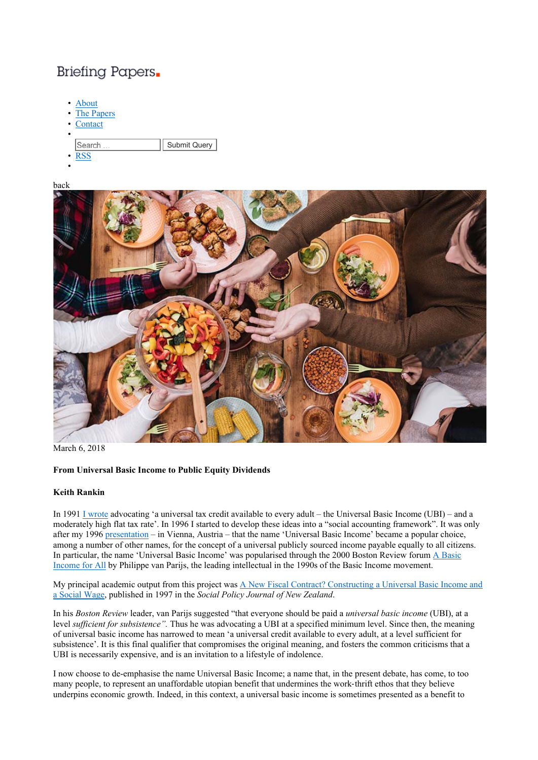# Briefing Papers.

- About **The Papers Contact** • Search .. Submit Query • RSS
- •





March 6, 2018

## **From Universal Basic Income to Public Equity Dividends**

#### **Keith Rankin**

In 1991 I wrote advocating 'a universal tax credit available to every adult – the Universal Basic Income (UBI) – and a moderately high flat tax rate'. In 1996 I started to develop these ideas into a "social accounting framework". It was only after my 1996 presentation – in Vienna, Austria – that the name 'Universal Basic Income' became a popular choice, among a number of other names, for the concept of a universal publicly sourced income payable equally to all citizens. In particular, the name 'Universal Basic Income' was popularised through the 2000 Boston Review forum A Basic Income for All by Philippe van Parijs, the leading intellectual in the 1990s of the Basic Income movement.

My principal academic output from this project was A New Fiscal Contract? Constructing a Universal Basic Income and a Social Wage, published in 1997 in the *Social Policy Journal of New Zealand*.

In his *Boston Review* leader, van Parijs suggested "that everyone should be paid a *universal basic income* (UBI), at a level *sufficient for subsistence".* Thus he was advocating a UBI at a specified minimum level. Since then, the meaning of universal basic income has narrowed to mean 'a universal credit available to every adult, at a level sufficient for subsistence'. It is this final qualifier that compromises the original meaning, and fosters the common criticisms that a UBI is necessarily expensive, and is an invitation to a lifestyle of indolence.

I now choose to de-emphasise the name Universal Basic Income; a name that, in the present debate, has come, to too many people, to represent an unaffordable utopian benefit that undermines the work-thrift ethos that they believe underpins economic growth. Indeed, in this context, a universal basic income is sometimes presented as a benefit to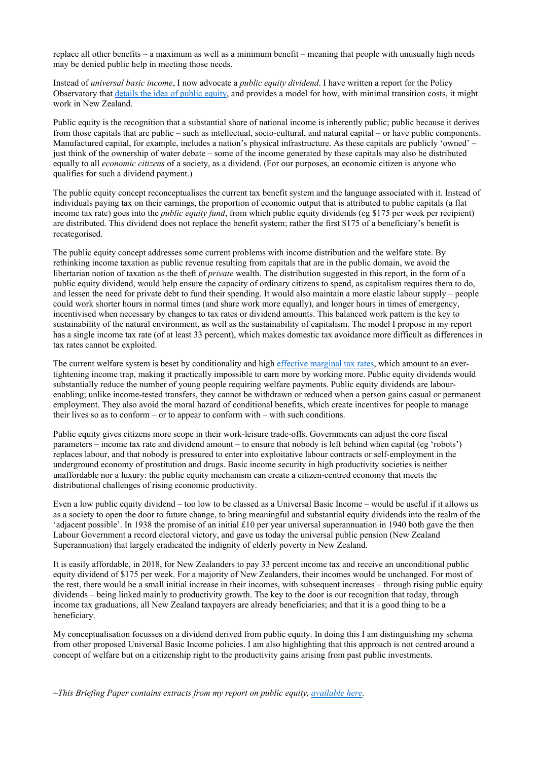replace all other benefits – a maximum as well as a minimum benefit – meaning that people with unusually high needs may be denied public help in meeting those needs.

Instead of *universal basic income*, I now advocate a *public equity dividend*. I have written a report for the Policy Observatory that details the idea of public equity, and provides a model for how, with minimal transition costs, it might work in New Zealand.

Public equity is the recognition that a substantial share of national income is inherently public; public because it derives from those capitals that are public – such as intellectual, socio-cultural, and natural capital – or have public components. Manufactured capital, for example, includes a nation's physical infrastructure. As these capitals are publicly 'owned' – just think of the ownership of water debate – some of the income generated by these capitals may also be distributed equally to all *economic citizens* of a society, as a dividend. (For our purposes, an economic citizen is anyone who qualifies for such a dividend payment.)

The public equity concept reconceptualises the current tax benefit system and the language associated with it. Instead of individuals paying tax on their earnings, the proportion of economic output that is attributed to public capitals (a flat income tax rate) goes into the *public equity fund*, from which public equity dividends (eg \$175 per week per recipient) are distributed. This dividend does not replace the benefit system; rather the first \$175 of a beneficiary's benefit is recategorised.

The public equity concept addresses some current problems with income distribution and the welfare state. By rethinking income taxation as public revenue resulting from capitals that are in the public domain, we avoid the libertarian notion of taxation as the theft of *private* wealth. The distribution suggested in this report, in the form of a public equity dividend, would help ensure the capacity of ordinary citizens to spend, as capitalism requires them to do, and lessen the need for private debt to fund their spending. It would also maintain a more elastic labour supply – people could work shorter hours in normal times (and share work more equally), and longer hours in times of emergency, incentivised when necessary by changes to tax rates or dividend amounts. This balanced work pattern is the key to sustainability of the natural environment, as well as the sustainability of capitalism. The model I propose in my report has a single income tax rate (of at least 33 percent), which makes domestic tax avoidance more difficult as differences in tax rates cannot be exploited.

The current welfare system is beset by conditionality and high effective marginal tax rates, which amount to an evertightening income trap, making it practically impossible to earn more by working more. Public equity dividends would substantially reduce the number of young people requiring welfare payments. Public equity dividends are labourenabling; unlike income-tested transfers, they cannot be withdrawn or reduced when a person gains casual or permanent employment. They also avoid the moral hazard of conditional benefits, which create incentives for people to manage their lives so as to conform – or to appear to conform with – with such conditions.

Public equity gives citizens more scope in their work-leisure trade-offs. Governments can adjust the core fiscal parameters – income tax rate and dividend amount – to ensure that nobody is left behind when capital (eg 'robots') replaces labour, and that nobody is pressured to enter into exploitative labour contracts or self-employment in the underground economy of prostitution and drugs. Basic income security in high productivity societies is neither unaffordable nor a luxury: the public equity mechanism can create a citizen-centred economy that meets the distributional challenges of rising economic productivity.

Even a low public equity dividend – too low to be classed as a Universal Basic Income – would be useful if it allows us as a society to open the door to future change, to bring meaningful and substantial equity dividends into the realm of the 'adjacent possible'. In 1938 the promise of an initial £10 per year universal superannuation in 1940 both gave the then Labour Government a record electoral victory, and gave us today the universal public pension (New Zealand Superannuation) that largely eradicated the indignity of elderly poverty in New Zealand.

It is easily affordable, in 2018, for New Zealanders to pay 33 percent income tax and receive an unconditional public equity dividend of \$175 per week. For a majority of New Zealanders, their incomes would be unchanged. For most of the rest, there would be a small initial increase in their incomes, with subsequent increases – through rising public equity dividends – being linked mainly to productivity growth. The key to the door is our recognition that today, through income tax graduations, all New Zealand taxpayers are already beneficiaries; and that it is a good thing to be a beneficiary.

My conceptualisation focusses on a dividend derived from public equity. In doing this I am distinguishing my schema from other proposed Universal Basic Income policies. I am also highlighting that this approach is not centred around a concept of welfare but on a citizenship right to the productivity gains arising from past public investments.

*~This Briefing Paper contains extracts from my report on public equity, available here.*